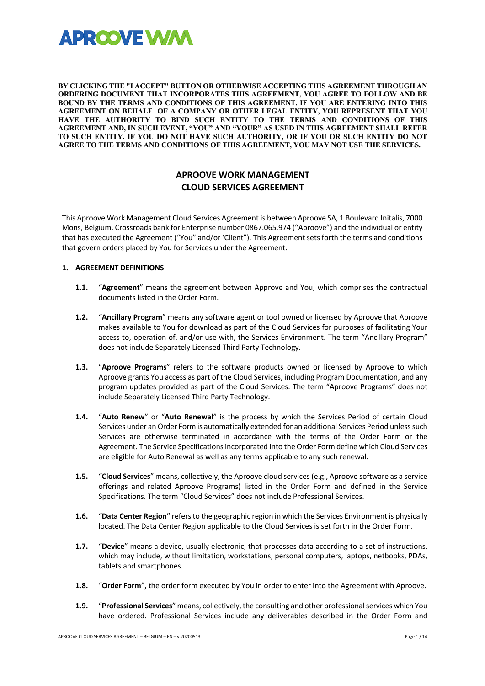

**BY CLICKING THE "I ACCEPT" BUTTON OR OTHERWISE ACCEPTING THIS AGREEMENT THROUGH AN ORDERING DOCUMENT THAT INCORPORATES THIS AGREEMENT, YOU AGREE TO FOLLOW AND BE BOUND BY THE TERMS AND CONDITIONS OF THIS AGREEMENT. IF YOU ARE ENTERING INTO THIS AGREEMENT ON BEHALF OF A COMPANY OR OTHER LEGAL ENTITY, YOU REPRESENT THAT YOU HAVE THE AUTHORITY TO BIND SUCH ENTITY TO THE TERMS AND CONDITIONS OF THIS AGREEMENT AND, IN SUCH EVENT, "YOU" AND "YOUR" AS USED IN THIS AGREEMENT SHALL REFER TO SUCH ENTITY. IF YOU DO NOT HAVE SUCH AUTHORITY, OR IF YOU OR SUCH ENTITY DO NOT AGREE TO THE TERMS AND CONDITIONS OF THIS AGREEMENT, YOU MAY NOT USE THE SERVICES.**

# **APROOVE WORK MANAGEMENT CLOUD SERVICES AGREEMENT**

This Aproove Work Management Cloud Services Agreement is between Aproove SA, 1 Boulevard Initalis, 7000 Mons, Belgium, Crossroads bank for Enterprise number 0867.065.974 ("Aproove") and the individual or entity that has executed the Agreement ("You" and/or 'Client"). This Agreement sets forth the terms and conditions that govern orders placed by You for Services under the Agreement.

# **1. AGREEMENT DEFINITIONS**

- **1.1.** "**Agreement**" means the agreement between Approve and You, which comprises the contractual documents listed in the Order Form.
- **1.2.** "**Ancillary Program**" means any software agent or tool owned or licensed by Aproove that Aproove makes available to You for download as part of the Cloud Services for purposes of facilitating Your access to, operation of, and/or use with, the Services Environment. The term "Ancillary Program" does not include Separately Licensed Third Party Technology.
- **1.3.** "**Aproove Programs**" refers to the software products owned or licensed by Aproove to which Aproove grants You access as part of the Cloud Services, including Program Documentation, and any program updates provided as part of the Cloud Services. The term "Aproove Programs" does not include Separately Licensed Third Party Technology.
- **1.4.** "**Auto Renew**" or "**Auto Renewal**" is the process by which the Services Period of certain Cloud Services under an Order Form is automatically extended for an additional Services Period unless such Services are otherwise terminated in accordance with the terms of the Order Form or the Agreement. The Service Specifications incorporated into the Order Form define which Cloud Services are eligible for Auto Renewal as well as any terms applicable to any such renewal.
- **1.5.** "**Cloud Services**" means, collectively, the Aproove cloud services (e.g., Aproove software as a service offerings and related Aproove Programs) listed in the Order Form and defined in the Service Specifications. The term "Cloud Services" does not include Professional Services.
- **1.6.** "**Data Center Region**" refers to the geographic region in which the Services Environment is physically located. The Data Center Region applicable to the Cloud Services is set forth in the Order Form.
- **1.7.** "**Device**" means a device, usually electronic, that processes data according to a set of instructions, which may include, without limitation, workstations, personal computers, laptops, netbooks, PDAs, tablets and smartphones.
- **1.8.** "**Order Form**", the order form executed by You in order to enter into the Agreement with Aproove.
- **1.9.** "**Professional Services**" means, collectively, the consulting and other professional services which You have ordered. Professional Services include any deliverables described in the Order Form and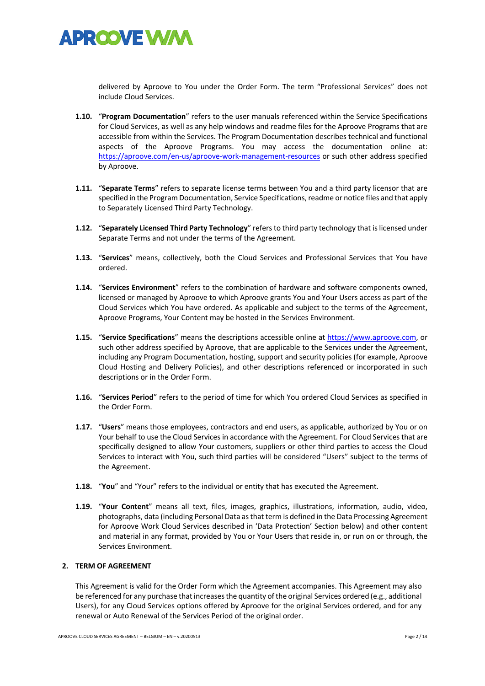

delivered by Aproove to You under the Order Form. The term "Professional Services" does not include Cloud Services.

- **1.10.** "**Program Documentation**" refers to the user manuals referenced within the Service Specifications for Cloud Services, as well as any help windows and readme files for the Aproove Programs that are accessible from within the Services. The Program Documentation describes technical and functional aspects of the Aproove Programs. You may access the documentation online at: https://aproove.com/en-us/aproove-work-management-resources or such other address specified by Aproove.
- **1.11.** "**Separate Terms**" refers to separate license terms between You and a third party licensor that are specified in the Program Documentation, Service Specifications, readme or notice files and that apply to Separately Licensed Third Party Technology.
- **1.12.** "**Separately Licensed Third Party Technology**" refers to third party technology that is licensed under Separate Terms and not under the terms of the Agreement.
- **1.13.** "**Services**" means, collectively, both the Cloud Services and Professional Services that You have ordered.
- **1.14.** "**Services Environment**" refers to the combination of hardware and software components owned, licensed or managed by Aproove to which Aproove grants You and Your Users access as part of the Cloud Services which You have ordered. As applicable and subject to the terms of the Agreement, Aproove Programs, Your Content may be hosted in the Services Environment.
- **1.15.** "**Service Specifications**" means the descriptions accessible online at https://www.aproove.com, or such other address specified by Aproove, that are applicable to the Services under the Agreement, including any Program Documentation, hosting, support and security policies (for example, Aproove Cloud Hosting and Delivery Policies), and other descriptions referenced or incorporated in such descriptions or in the Order Form.
- **1.16.** "**Services Period**" refers to the period of time for which You ordered Cloud Services as specified in the Order Form.
- **1.17.** "**Users**" means those employees, contractors and end users, as applicable, authorized by You or on Your behalf to use the Cloud Services in accordance with the Agreement. For Cloud Services that are specifically designed to allow Your customers, suppliers or other third parties to access the Cloud Services to interact with You, such third parties will be considered "Users" subject to the terms of the Agreement.
- **1.18.** "**You**" and "Your" refers to the individual or entity that has executed the Agreement.
- **1.19.** "**Your Content**" means all text, files, images, graphics, illustrations, information, audio, video, photographs, data (including Personal Data as that term is defined in the Data Processing Agreement for Aproove Work Cloud Services described in 'Data Protection' Section below) and other content and material in any format, provided by You or Your Users that reside in, or run on or through, the Services Environment.

# **2. TERM OF AGREEMENT**

This Agreement is valid for the Order Form which the Agreement accompanies. This Agreement may also be referenced for any purchase that increases the quantity of the original Services ordered (e.g., additional Users), for any Cloud Services options offered by Aproove for the original Services ordered, and for any renewal or Auto Renewal of the Services Period of the original order.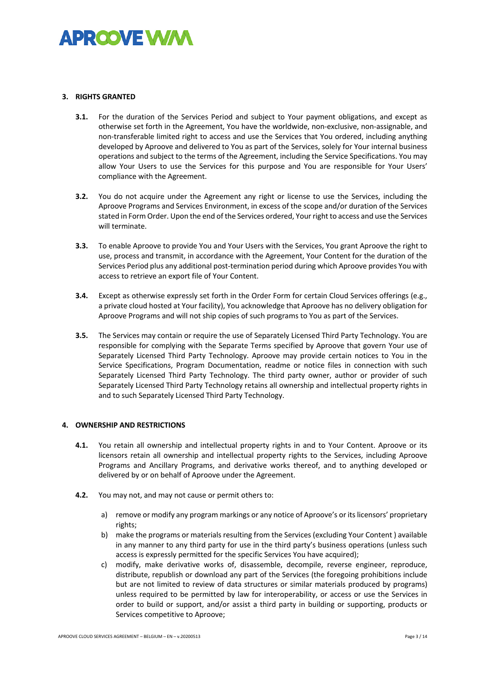

# **3. RIGHTS GRANTED**

- **3.1.** For the duration of the Services Period and subject to Your payment obligations, and except as otherwise set forth in the Agreement, You have the worldwide, non-exclusive, non-assignable, and non-transferable limited right to access and use the Services that You ordered, including anything developed by Aproove and delivered to You as part of the Services, solely for Your internal business operations and subject to the terms of the Agreement, including the Service Specifications. You may allow Your Users to use the Services for this purpose and You are responsible for Your Users' compliance with the Agreement.
- **3.2.** You do not acquire under the Agreement any right or license to use the Services, including the Aproove Programs and Services Environment, in excess of the scope and/or duration of the Services stated in Form Order. Upon the end of the Services ordered, Your right to access and use the Services will terminate.
- **3.3.** To enable Aproove to provide You and Your Users with the Services, You grant Aproove the right to use, process and transmit, in accordance with the Agreement, Your Content for the duration of the Services Period plus any additional post-termination period during which Aproove provides You with access to retrieve an export file of Your Content.
- **3.4.** Except as otherwise expressly set forth in the Order Form for certain Cloud Services offerings (e.g., a private cloud hosted at Your facility), You acknowledge that Aproove has no delivery obligation for Aproove Programs and will not ship copies of such programs to You as part of the Services.
- **3.5.** The Services may contain or require the use of Separately Licensed Third Party Technology. You are responsible for complying with the Separate Terms specified by Aproove that govern Your use of Separately Licensed Third Party Technology. Aproove may provide certain notices to You in the Service Specifications, Program Documentation, readme or notice files in connection with such Separately Licensed Third Party Technology. The third party owner, author or provider of such Separately Licensed Third Party Technology retains all ownership and intellectual property rights in and to such Separately Licensed Third Party Technology.

# **4. OWNERSHIP AND RESTRICTIONS**

- **4.1.** You retain all ownership and intellectual property rights in and to Your Content. Aproove or its licensors retain all ownership and intellectual property rights to the Services, including Aproove Programs and Ancillary Programs, and derivative works thereof, and to anything developed or delivered by or on behalf of Aproove under the Agreement.
- **4.2.** You may not, and may not cause or permit others to:
	- a) remove or modify any program markings or any notice of Aproove's or its licensors' proprietary rights;
	- b) make the programs or materials resulting from the Services (excluding Your Content ) available in any manner to any third party for use in the third party's business operations (unless such access is expressly permitted for the specific Services You have acquired);
	- c) modify, make derivative works of, disassemble, decompile, reverse engineer, reproduce, distribute, republish or download any part of the Services (the foregoing prohibitions include but are not limited to review of data structures or similar materials produced by programs) unless required to be permitted by law for interoperability, or access or use the Services in order to build or support, and/or assist a third party in building or supporting, products or Services competitive to Aproove;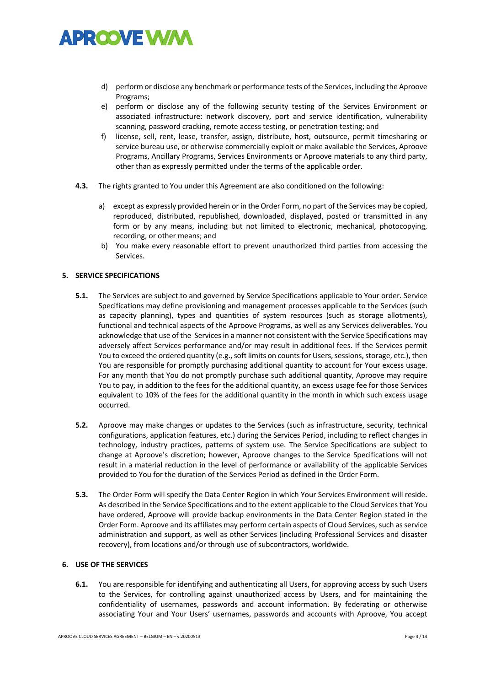

- d) perform or disclose any benchmark or performance tests of the Services, including the Aproove Programs;
- e) perform or disclose any of the following security testing of the Services Environment or associated infrastructure: network discovery, port and service identification, vulnerability scanning, password cracking, remote access testing, or penetration testing; and
- f) license, sell, rent, lease, transfer, assign, distribute, host, outsource, permit timesharing or service bureau use, or otherwise commercially exploit or make available the Services, Aproove Programs, Ancillary Programs, Services Environments or Aproove materials to any third party, other than as expressly permitted under the terms of the applicable order.
- **4.3.** The rights granted to You under this Agreement are also conditioned on the following:
	- a) except as expressly provided herein or in the Order Form, no part of the Services may be copied, reproduced, distributed, republished, downloaded, displayed, posted or transmitted in any form or by any means, including but not limited to electronic, mechanical, photocopying, recording, or other means; and
	- b) You make every reasonable effort to prevent unauthorized third parties from accessing the Services.

# **5. SERVICE SPECIFICATIONS**

- **5.1.** The Services are subject to and governed by Service Specifications applicable to Your order. Service Specifications may define provisioning and management processes applicable to the Services (such as capacity planning), types and quantities of system resources (such as storage allotments), functional and technical aspects of the Aproove Programs, as well as any Services deliverables. You acknowledge that use of the Services in a manner not consistent with the Service Specifications may adversely affect Services performance and/or may result in additional fees. If the Services permit You to exceed the ordered quantity (e.g., soft limits on counts for Users, sessions, storage, etc.), then You are responsible for promptly purchasing additional quantity to account for Your excess usage. For any month that You do not promptly purchase such additional quantity, Aproove may require You to pay, in addition to the fees for the additional quantity, an excess usage fee for those Services equivalent to 10% of the fees for the additional quantity in the month in which such excess usage occurred.
- **5.2.** Aproove may make changes or updates to the Services (such as infrastructure, security, technical configurations, application features, etc.) during the Services Period, including to reflect changes in technology, industry practices, patterns of system use. The Service Specifications are subject to change at Aproove's discretion; however, Aproove changes to the Service Specifications will not result in a material reduction in the level of performance or availability of the applicable Services provided to You for the duration of the Services Period as defined in the Order Form.
- **5.3.** The Order Form will specify the Data Center Region in which Your Services Environment will reside. As described in the Service Specifications and to the extent applicable to the Cloud Services that You have ordered, Aproove will provide backup environments in the Data Center Region stated in the Order Form. Aproove and its affiliates may perform certain aspects of Cloud Services, such as service administration and support, as well as other Services (including Professional Services and disaster recovery), from locations and/or through use of subcontractors, worldwide.

# **6. USE OF THE SERVICES**

**6.1.** You are responsible for identifying and authenticating all Users, for approving access by such Users to the Services, for controlling against unauthorized access by Users, and for maintaining the confidentiality of usernames, passwords and account information. By federating or otherwise associating Your and Your Users' usernames, passwords and accounts with Aproove, You accept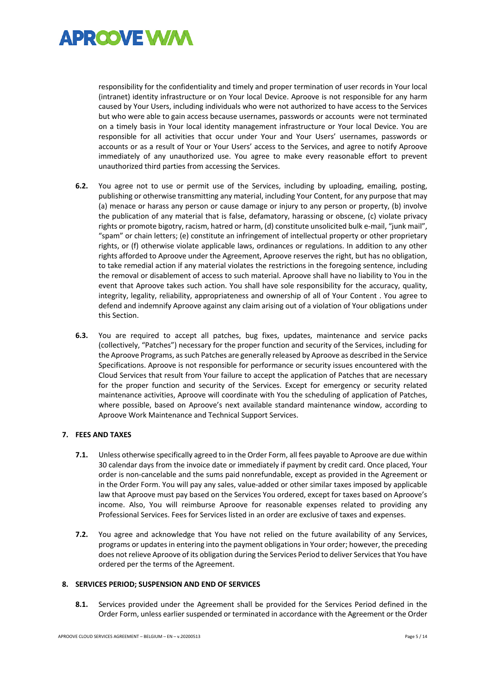

responsibility for the confidentiality and timely and proper termination of user records in Your local (intranet) identity infrastructure or on Your local Device. Aproove is not responsible for any harm caused by Your Users, including individuals who were not authorized to have access to the Services but who were able to gain access because usernames, passwords or accounts were not terminated on a timely basis in Your local identity management infrastructure or Your local Device. You are responsible for all activities that occur under Your and Your Users' usernames, passwords or accounts or as a result of Your or Your Users' access to the Services, and agree to notify Aproove immediately of any unauthorized use. You agree to make every reasonable effort to prevent unauthorized third parties from accessing the Services.

- **6.2.** You agree not to use or permit use of the Services, including by uploading, emailing, posting, publishing or otherwise transmitting any material, including Your Content, for any purpose that may (a) menace or harass any person or cause damage or injury to any person or property, (b) involve the publication of any material that is false, defamatory, harassing or obscene, (c) violate privacy rights or promote bigotry, racism, hatred or harm, (d) constitute unsolicited bulk e-mail, "junk mail", "spam" or chain letters; (e) constitute an infringement of intellectual property or other proprietary rights, or (f) otherwise violate applicable laws, ordinances or regulations. In addition to any other rights afforded to Aproove under the Agreement, Aproove reserves the right, but has no obligation, to take remedial action if any material violates the restrictions in the foregoing sentence, including the removal or disablement of access to such material. Aproove shall have no liability to You in the event that Aproove takes such action. You shall have sole responsibility for the accuracy, quality, integrity, legality, reliability, appropriateness and ownership of all of Your Content . You agree to defend and indemnify Aproove against any claim arising out of a violation of Your obligations under this Section.
- **6.3.** You are required to accept all patches, bug fixes, updates, maintenance and service packs (collectively, "Patches") necessary for the proper function and security of the Services, including for the Aproove Programs, as such Patches are generally released by Aproove as described in the Service Specifications. Aproove is not responsible for performance or security issues encountered with the Cloud Services that result from Your failure to accept the application of Patches that are necessary for the proper function and security of the Services. Except for emergency or security related maintenance activities, Aproove will coordinate with You the scheduling of application of Patches, where possible, based on Aproove's next available standard maintenance window, according to Aproove Work Maintenance and Technical Support Services.

# **7. FEES AND TAXES**

- **7.1.** Unless otherwise specifically agreed to in the Order Form, all fees payable to Aproove are due within 30 calendar days from the invoice date or immediately if payment by credit card. Once placed, Your order is non-cancelable and the sums paid nonrefundable, except as provided in the Agreement or in the Order Form. You will pay any sales, value-added or other similar taxes imposed by applicable law that Aproove must pay based on the Services You ordered, except for taxes based on Aproove's income. Also, You will reimburse Aproove for reasonable expenses related to providing any Professional Services. Fees for Services listed in an order are exclusive of taxes and expenses.
- **7.2.** You agree and acknowledge that You have not relied on the future availability of any Services, programs or updates in entering into the payment obligations in Your order; however, the preceding does not relieve Aproove of its obligation during the Services Period to deliver Services that You have ordered per the terms of the Agreement.

### **8. SERVICES PERIOD; SUSPENSION AND END OF SERVICES**

**8.1.** Services provided under the Agreement shall be provided for the Services Period defined in the Order Form, unless earlier suspended or terminated in accordance with the Agreement or the Order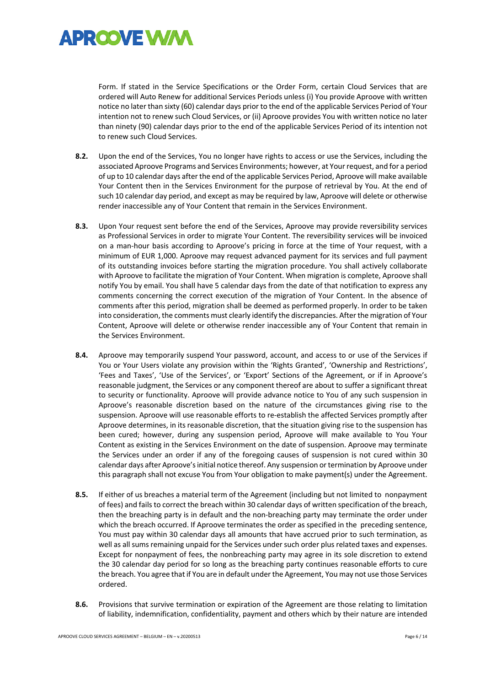

Form. If stated in the Service Specifications or the Order Form, certain Cloud Services that are ordered will Auto Renew for additional Services Periods unless (i) You provide Aproove with written notice no later than sixty (60) calendar days prior to the end of the applicable Services Period of Your intention not to renew such Cloud Services, or (ii) Aproove provides You with written notice no later than ninety (90) calendar days prior to the end of the applicable Services Period of its intention not to renew such Cloud Services.

- **8.2.** Upon the end of the Services, You no longer have rights to access or use the Services, including the associated Aproove Programs and Services Environments; however, at Your request, and for a period of up to 10 calendar days after the end of the applicable Services Period, Aproove will make available Your Content then in the Services Environment for the purpose of retrieval by You. At the end of such 10 calendar day period, and except as may be required by law, Aproove will delete or otherwise render inaccessible any of Your Content that remain in the Services Environment.
- **8.3.** Upon Your request sent before the end of the Services, Aproove may provide reversibility services as Professional Services in order to migrate Your Content. The reversibility services will be invoiced on a man-hour basis according to Aproove's pricing in force at the time of Your request, with a minimum of EUR 1,000. Aproove may request advanced payment for its services and full payment of its outstanding invoices before starting the migration procedure. You shall actively collaborate with Aproove to facilitate the migration of Your Content. When migration is complete, Aproove shall notify You by email. You shall have 5 calendar days from the date of that notification to express any comments concerning the correct execution of the migration of Your Content. In the absence of comments after this period, migration shall be deemed as performed properly. In order to be taken into consideration, the comments must clearly identify the discrepancies. After the migration of Your Content, Aproove will delete or otherwise render inaccessible any of Your Content that remain in the Services Environment.
- **8.4.** Aproove may temporarily suspend Your password, account, and access to or use of the Services if You or Your Users violate any provision within the 'Rights Granted', 'Ownership and Restrictions', 'Fees and Taxes', 'Use of the Services', or 'Export' Sections of the Agreement, or if in Aproove's reasonable judgment, the Services or any component thereof are about to suffer a significant threat to security or functionality. Aproove will provide advance notice to You of any such suspension in Aproove's reasonable discretion based on the nature of the circumstances giving rise to the suspension. Aproove will use reasonable efforts to re-establish the affected Services promptly after Aproove determines, in its reasonable discretion, that the situation giving rise to the suspension has been cured; however, during any suspension period, Aproove will make available to You Your Content as existing in the Services Environment on the date of suspension. Aproove may terminate the Services under an order if any of the foregoing causes of suspension is not cured within 30 calendar days after Aproove's initial notice thereof. Any suspension or termination by Aproove under this paragraph shall not excuse You from Your obligation to make payment(s) under the Agreement.
- **8.5.** If either of us breaches a material term of the Agreement (including but not limited to nonpayment of fees) and fails to correct the breach within 30 calendar days of written specification of the breach, then the breaching party is in default and the non-breaching party may terminate the order under which the breach occurred. If Aproove terminates the order as specified in the preceding sentence, You must pay within 30 calendar days all amounts that have accrued prior to such termination, as well as all sums remaining unpaid for the Services under such order plus related taxes and expenses. Except for nonpayment of fees, the nonbreaching party may agree in its sole discretion to extend the 30 calendar day period for so long as the breaching party continues reasonable efforts to cure the breach. You agree that if You are in default under the Agreement, You may not use those Services ordered.
- **8.6.** Provisions that survive termination or expiration of the Agreement are those relating to limitation of liability, indemnification, confidentiality, payment and others which by their nature are intended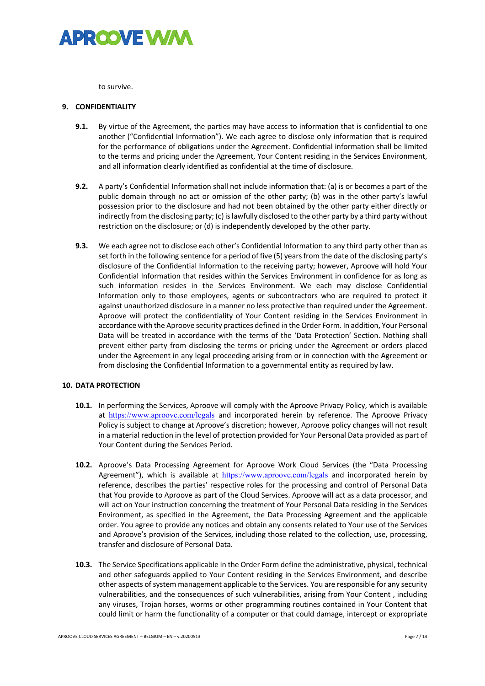

to survive.

### **9. CONFIDENTIALITY**

- **9.1.** By virtue of the Agreement, the parties may have access to information that is confidential to one another ("Confidential Information"). We each agree to disclose only information that is required for the performance of obligations under the Agreement. Confidential information shall be limited to the terms and pricing under the Agreement, Your Content residing in the Services Environment, and all information clearly identified as confidential at the time of disclosure.
- **9.2.** A party's Confidential Information shall not include information that: (a) is or becomes a part of the public domain through no act or omission of the other party; (b) was in the other party's lawful possession prior to the disclosure and had not been obtained by the other party either directly or indirectly from the disclosing party; (c) is lawfully disclosed to the other party by a third party without restriction on the disclosure; or (d) is independently developed by the other party.
- **9.3.** We each agree not to disclose each other's Confidential Information to any third party other than as set forth in the following sentence for a period of five (5) years from the date of the disclosing party's disclosure of the Confidential Information to the receiving party; however, Aproove will hold Your Confidential Information that resides within the Services Environment in confidence for as long as such information resides in the Services Environment. We each may disclose Confidential Information only to those employees, agents or subcontractors who are required to protect it against unauthorized disclosure in a manner no less protective than required under the Agreement. Aproove will protect the confidentiality of Your Content residing in the Services Environment in accordance with the Aproove security practices defined in the Order Form. In addition, Your Personal Data will be treated in accordance with the terms of the 'Data Protection' Section. Nothing shall prevent either party from disclosing the terms or pricing under the Agreement or orders placed under the Agreement in any legal proceeding arising from or in connection with the Agreement or from disclosing the Confidential Information to a governmental entity as required by law.

### **10. DATA PROTECTION**

- **10.1.** In performing the Services, Aproove will comply with the Aproove Privacy Policy, which is available at https://www.aproove.com/legals and incorporated herein by reference. The Aproove Privacy Policy is subject to change at Aproove's discretion; however, Aproove policy changes will not result in a material reduction in the level of protection provided for Your Personal Data provided as part of Your Content during the Services Period.
- **10.2.** Aproove's Data Processing Agreement for Aproove Work Cloud Services (the "Data Processing Agreement"), which is available at https://www.aproove.com/legals and incorporated herein by reference, describes the parties' respective roles for the processing and control of Personal Data that You provide to Aproove as part of the Cloud Services. Aproove will act as a data processor, and will act on Your instruction concerning the treatment of Your Personal Data residing in the Services Environment, as specified in the Agreement, the Data Processing Agreement and the applicable order. You agree to provide any notices and obtain any consents related to Your use of the Services and Aproove's provision of the Services, including those related to the collection, use, processing, transfer and disclosure of Personal Data.
- **10.3.** The Service Specifications applicable in the Order Form define the administrative, physical, technical and other safeguards applied to Your Content residing in the Services Environment, and describe other aspects of system management applicable to the Services. You are responsible for any security vulnerabilities, and the consequences of such vulnerabilities, arising from Your Content , including any viruses, Trojan horses, worms or other programming routines contained in Your Content that could limit or harm the functionality of a computer or that could damage, intercept or expropriate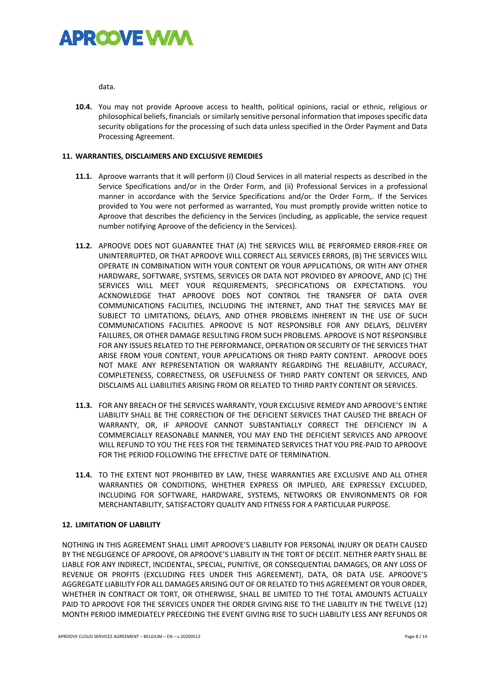

data.

**10.4.** You may not provide Aproove access to health, political opinions, racial or ethnic, religious or philosophical beliefs, financials or similarly sensitive personal information that imposes specific data security obligations for the processing of such data unless specified in the Order Payment and Data Processing Agreement.

# **11. WARRANTIES, DISCLAIMERS AND EXCLUSIVE REMEDIES**

- **11.1.** Aproove warrants that it will perform (i) Cloud Services in all material respects as described in the Service Specifications and/or in the Order Form, and (ii) Professional Services in a professional manner in accordance with the Service Specifications and/or the Order Form,. If the Services provided to You were not performed as warranted, You must promptly provide written notice to Aproove that describes the deficiency in the Services (including, as applicable, the service request number notifying Aproove of the deficiency in the Services).
- **11.2.** APROOVE DOES NOT GUARANTEE THAT (A) THE SERVICES WILL BE PERFORMED ERROR-FREE OR UNINTERRUPTED, OR THAT APROOVE WILL CORRECT ALL SERVICES ERRORS, (B) THE SERVICES WILL OPERATE IN COMBINATION WITH YOUR CONTENT OR YOUR APPLICATIONS, OR WITH ANY OTHER HARDWARE, SOFTWARE, SYSTEMS, SERVICES OR DATA NOT PROVIDED BY APROOVE, AND (C) THE SERVICES WILL MEET YOUR REQUIREMENTS, SPECIFICATIONS OR EXPECTATIONS. YOU ACKNOWLEDGE THAT APROOVE DOES NOT CONTROL THE TRANSFER OF DATA OVER COMMUNICATIONS FACILITIES, INCLUDING THE INTERNET, AND THAT THE SERVICES MAY BE SUBJECT TO LIMITATIONS, DELAYS, AND OTHER PROBLEMS INHERENT IN THE USE OF SUCH COMMUNICATIONS FACILITIES. APROOVE IS NOT RESPONSIBLE FOR ANY DELAYS, DELIVERY FAILURES, OR OTHER DAMAGE RESULTING FROM SUCH PROBLEMS. APROOVE IS NOT RESPONSIBLE FOR ANY ISSUES RELATED TO THE PERFORMANCE, OPERATION OR SECURITY OF THE SERVICES THAT ARISE FROM YOUR CONTENT, YOUR APPLICATIONS OR THIRD PARTY CONTENT. APROOVE DOES NOT MAKE ANY REPRESENTATION OR WARRANTY REGARDING THE RELIABILITY, ACCURACY, COMPLETENESS, CORRECTNESS, OR USEFULNESS OF THIRD PARTY CONTENT OR SERVICES, AND DISCLAIMS ALL LIABILITIES ARISING FROM OR RELATED TO THIRD PARTY CONTENT OR SERVICES.
- **11.3.** FOR ANY BREACH OF THE SERVICES WARRANTY, YOUR EXCLUSIVE REMEDY AND APROOVE'S ENTIRE LIABILITY SHALL BE THE CORRECTION OF THE DEFICIENT SERVICES THAT CAUSED THE BREACH OF WARRANTY, OR, IF APROOVE CANNOT SUBSTANTIALLY CORRECT THE DEFICIENCY IN A COMMERCIALLY REASONABLE MANNER, YOU MAY END THE DEFICIENT SERVICES AND APROOVE WILL REFUND TO YOU THE FEES FOR THE TERMINATED SERVICES THAT YOU PRE-PAID TO APROOVE FOR THE PERIOD FOLLOWING THE EFFECTIVE DATE OF TERMINATION.
- **11.4.** TO THE EXTENT NOT PROHIBITED BY LAW, THESE WARRANTIES ARE EXCLUSIVE AND ALL OTHER WARRANTIES OR CONDITIONS, WHETHER EXPRESS OR IMPLIED, ARE EXPRESSLY EXCLUDED, INCLUDING FOR SOFTWARE, HARDWARE, SYSTEMS, NETWORKS OR ENVIRONMENTS OR FOR MERCHANTABILITY, SATISFACTORY QUALITY AND FITNESS FOR A PARTICULAR PURPOSE.

# **12. LIMITATION OF LIABILITY**

NOTHING IN THIS AGREEMENT SHALL LIMIT APROOVE'S LIABILITY FOR PERSONAL INJURY OR DEATH CAUSED BY THE NEGLIGENCE OF APROOVE, OR APROOVE'S LIABILITY IN THE TORT OF DECEIT. NEITHER PARTY SHALL BE LIABLE FOR ANY INDIRECT, INCIDENTAL, SPECIAL, PUNITIVE, OR CONSEQUENTIAL DAMAGES, OR ANY LOSS OF REVENUE OR PROFITS (EXCLUDING FEES UNDER THIS AGREEMENT), DATA, OR DATA USE. APROOVE'S AGGREGATE LIABILITY FOR ALL DAMAGES ARISING OUT OF OR RELATED TO THIS AGREEMENT OR YOUR ORDER, WHETHER IN CONTRACT OR TORT, OR OTHERWISE, SHALL BE LIMITED TO THE TOTAL AMOUNTS ACTUALLY PAID TO APROOVE FOR THE SERVICES UNDER THE ORDER GIVING RISE TO THE LIABILITY IN THE TWELVE (12) MONTH PERIOD IMMEDIATELY PRECEDING THE EVENT GIVING RISE TO SUCH LIABILITY LESS ANY REFUNDS OR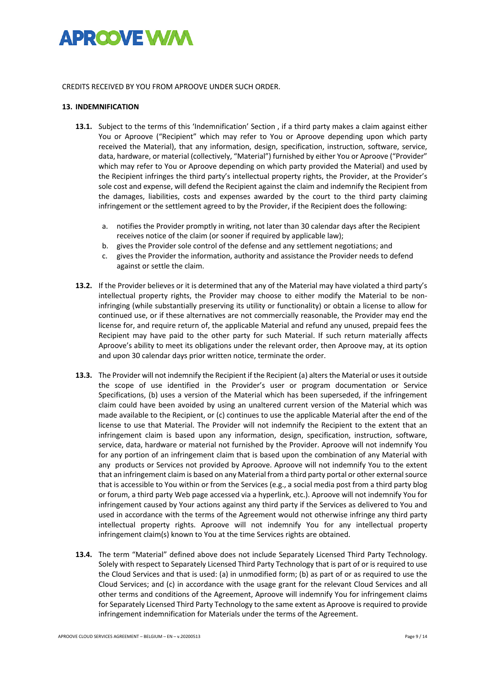

#### CREDITS RECEIVED BY YOU FROM APROOVE UNDER SUCH ORDER.

#### **13. INDEMNIFICATION**

- **13.1.** Subject to the terms of this 'Indemnification' Section , if a third party makes a claim against either You or Aproove ("Recipient" which may refer to You or Aproove depending upon which party received the Material), that any information, design, specification, instruction, software, service, data, hardware, or material (collectively, "Material") furnished by either You or Aproove ("Provider" which may refer to You or Aproove depending on which party provided the Material) and used by the Recipient infringes the third party's intellectual property rights, the Provider, at the Provider's sole cost and expense, will defend the Recipient against the claim and indemnify the Recipient from the damages, liabilities, costs and expenses awarded by the court to the third party claiming infringement or the settlement agreed to by the Provider, if the Recipient does the following:
	- a. notifies the Provider promptly in writing, not later than 30 calendar days after the Recipient receives notice of the claim (or sooner if required by applicable law);
	- b. gives the Provider sole control of the defense and any settlement negotiations; and
	- c. gives the Provider the information, authority and assistance the Provider needs to defend against or settle the claim.
- **13.2.** If the Provider believes or it is determined that any of the Material may have violated a third party's intellectual property rights, the Provider may choose to either modify the Material to be noninfringing (while substantially preserving its utility or functionality) or obtain a license to allow for continued use, or if these alternatives are not commercially reasonable, the Provider may end the license for, and require return of, the applicable Material and refund any unused, prepaid fees the Recipient may have paid to the other party for such Material. If such return materially affects Aproove's ability to meet its obligations under the relevant order, then Aproove may, at its option and upon 30 calendar days prior written notice, terminate the order.
- **13.3.** The Provider will not indemnify the Recipient if the Recipient (a) alters the Material or uses it outside the scope of use identified in the Provider's user or program documentation or Service Specifications, (b) uses a version of the Material which has been superseded, if the infringement claim could have been avoided by using an unaltered current version of the Material which was made available to the Recipient, or (c) continues to use the applicable Material after the end of the license to use that Material. The Provider will not indemnify the Recipient to the extent that an infringement claim is based upon any information, design, specification, instruction, software, service, data, hardware or material not furnished by the Provider. Aproove will not indemnify You for any portion of an infringement claim that is based upon the combination of any Material with any products or Services not provided by Aproove. Aproove will not indemnify You to the extent that an infringement claim is based on any Material from a third party portal or other external source that is accessible to You within or from the Services (e.g., a social media post from a third party blog or forum, a third party Web page accessed via a hyperlink, etc.). Aproove will not indemnify You for infringement caused by Your actions against any third party if the Services as delivered to You and used in accordance with the terms of the Agreement would not otherwise infringe any third party intellectual property rights. Aproove will not indemnify You for any intellectual property infringement claim(s) known to You at the time Services rights are obtained.
- **13.4.** The term "Material" defined above does not include Separately Licensed Third Party Technology. Solely with respect to Separately Licensed Third Party Technology that is part of or is required to use the Cloud Services and that is used: (a) in unmodified form; (b) as part of or as required to use the Cloud Services; and (c) in accordance with the usage grant for the relevant Cloud Services and all other terms and conditions of the Agreement, Aproove will indemnify You for infringement claims for Separately Licensed Third Party Technology to the same extent as Aproove is required to provide infringement indemnification for Materials under the terms of the Agreement.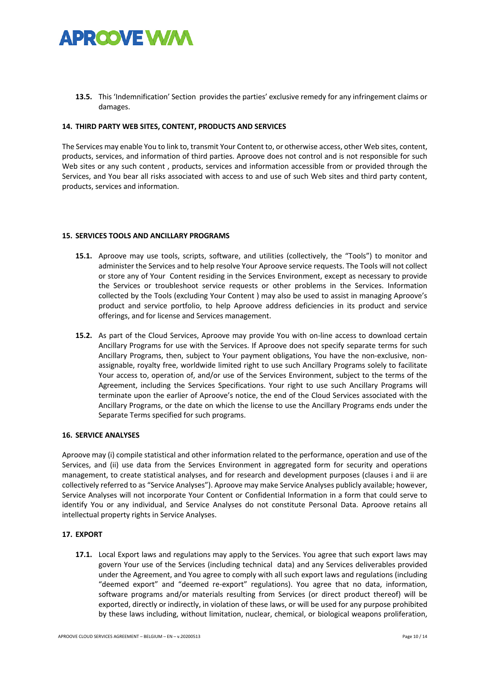

**13.5.** This 'Indemnification' Section provides the parties' exclusive remedy for any infringement claims or damages.

### **14. THIRD PARTY WEB SITES, CONTENT, PRODUCTS AND SERVICES**

The Services may enable You to link to, transmit Your Content to, or otherwise access, other Web sites, content, products, services, and information of third parties. Aproove does not control and is not responsible for such Web sites or any such content, products, services and information accessible from or provided through the Services, and You bear all risks associated with access to and use of such Web sites and third party content, products, services and information.

#### **15. SERVICES TOOLS AND ANCILLARY PROGRAMS**

- **15.1.** Aproove may use tools, scripts, software, and utilities (collectively, the "Tools") to monitor and administer the Services and to help resolve Your Aproove service requests. The Tools will not collect or store any of Your Content residing in the Services Environment, except as necessary to provide the Services or troubleshoot service requests or other problems in the Services. Information collected by the Tools (excluding Your Content ) may also be used to assist in managing Aproove's product and service portfolio, to help Aproove address deficiencies in its product and service offerings, and for license and Services management.
- **15.2.** As part of the Cloud Services, Aproove may provide You with on-line access to download certain Ancillary Programs for use with the Services. If Aproove does not specify separate terms for such Ancillary Programs, then, subject to Your payment obligations, You have the non-exclusive, nonassignable, royalty free, worldwide limited right to use such Ancillary Programs solely to facilitate Your access to, operation of, and/or use of the Services Environment, subject to the terms of the Agreement, including the Services Specifications. Your right to use such Ancillary Programs will terminate upon the earlier of Aproove's notice, the end of the Cloud Services associated with the Ancillary Programs, or the date on which the license to use the Ancillary Programs ends under the Separate Terms specified for such programs.

### **16. SERVICE ANALYSES**

Aproove may (i) compile statistical and other information related to the performance, operation and use of the Services, and (ii) use data from the Services Environment in aggregated form for security and operations management, to create statistical analyses, and for research and development purposes (clauses i and ii are collectively referred to as "Service Analyses"). Aproove may make Service Analyses publicly available; however, Service Analyses will not incorporate Your Content or Confidential Information in a form that could serve to identify You or any individual, and Service Analyses do not constitute Personal Data. Aproove retains all intellectual property rights in Service Analyses.

# **17. EXPORT**

**17.1.** Local Export laws and regulations may apply to the Services. You agree that such export laws may govern Your use of the Services (including technical data) and any Services deliverables provided under the Agreement, and You agree to comply with all such export laws and regulations (including "deemed export" and "deemed re-export" regulations). You agree that no data, information, software programs and/or materials resulting from Services (or direct product thereof) will be exported, directly or indirectly, in violation of these laws, or will be used for any purpose prohibited by these laws including, without limitation, nuclear, chemical, or biological weapons proliferation,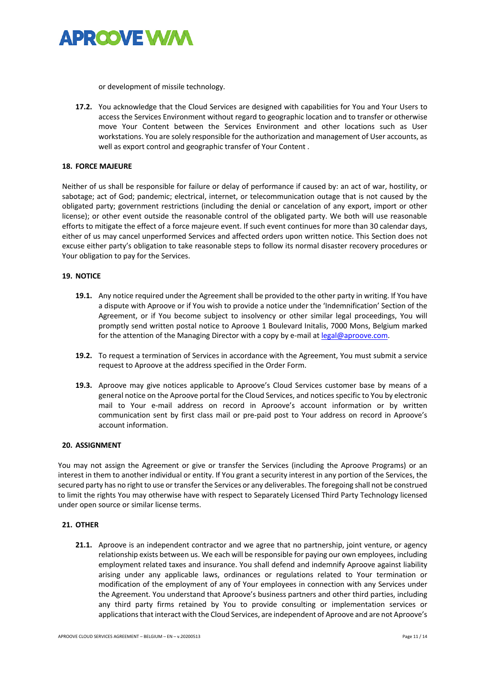

or development of missile technology.

**17.2.** You acknowledge that the Cloud Services are designed with capabilities for You and Your Users to access the Services Environment without regard to geographic location and to transfer or otherwise move Your Content between the Services Environment and other locations such as User workstations. You are solely responsible for the authorization and management of User accounts, as well as export control and geographic transfer of Your Content .

### **18. FORCE MAJEURE**

Neither of us shall be responsible for failure or delay of performance if caused by: an act of war, hostility, or sabotage; act of God; pandemic; electrical, internet, or telecommunication outage that is not caused by the obligated party; government restrictions (including the denial or cancelation of any export, import or other license); or other event outside the reasonable control of the obligated party. We both will use reasonable efforts to mitigate the effect of a force majeure event. If such event continues for more than 30 calendar days, either of us may cancel unperformed Services and affected orders upon written notice. This Section does not excuse either party's obligation to take reasonable steps to follow its normal disaster recovery procedures or Your obligation to pay for the Services.

### **19. NOTICE**

- **19.1.** Any notice required under the Agreement shall be provided to the other party in writing. If You have a dispute with Aproove or if You wish to provide a notice under the 'Indemnification' Section of the Agreement, or if You become subject to insolvency or other similar legal proceedings, You will promptly send written postal notice to Aproove 1 Boulevard Initalis, 7000 Mons, Belgium marked for the attention of the Managing Director with a copy by e-mail at legal@aproove.com.
- **19.2.** To request a termination of Services in accordance with the Agreement, You must submit a service request to Aproove at the address specified in the Order Form.
- **19.3.** Aproove may give notices applicable to Aproove's Cloud Services customer base by means of a general notice on the Aproove portal for the Cloud Services, and notices specific to You by electronic mail to Your e-mail address on record in Aproove's account information or by written communication sent by first class mail or pre-paid post to Your address on record in Aproove's account information.

### **20. ASSIGNMENT**

You may not assign the Agreement or give or transfer the Services (including the Aproove Programs) or an interest in them to another individual or entity. If You grant a security interest in any portion of the Services, the secured party has no right to use or transfer the Services or any deliverables. The foregoing shall not be construed to limit the rights You may otherwise have with respect to Separately Licensed Third Party Technology licensed under open source or similar license terms.

# **21. OTHER**

**21.1.** Aproove is an independent contractor and we agree that no partnership, joint venture, or agency relationship exists between us. We each will be responsible for paying our own employees, including employment related taxes and insurance. You shall defend and indemnify Aproove against liability arising under any applicable laws, ordinances or regulations related to Your termination or modification of the employment of any of Your employees in connection with any Services under the Agreement. You understand that Aproove's business partners and other third parties, including any third party firms retained by You to provide consulting or implementation services or applications that interact with the Cloud Services, are independent of Aproove and are not Aproove's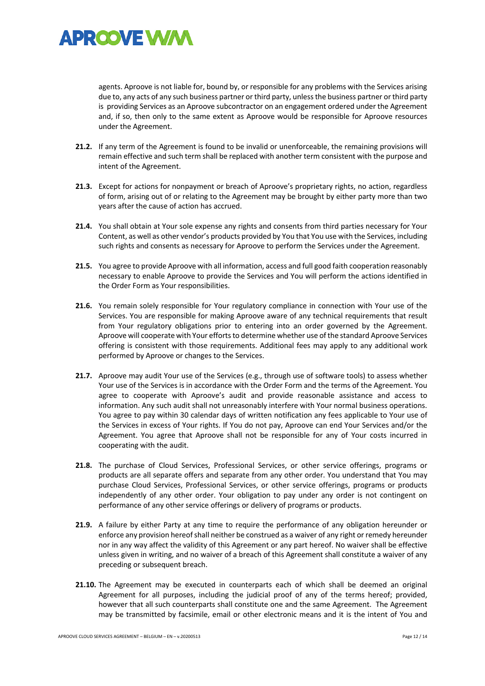

agents. Aproove is not liable for, bound by, or responsible for any problems with the Services arising due to, any acts of any such business partner or third party, unless the business partner or third party is providing Services as an Aproove subcontractor on an engagement ordered under the Agreement and, if so, then only to the same extent as Aproove would be responsible for Aproove resources under the Agreement.

- **21.2.** If any term of the Agreement is found to be invalid or unenforceable, the remaining provisions will remain effective and such term shall be replaced with another term consistent with the purpose and intent of the Agreement.
- **21.3.** Except for actions for nonpayment or breach of Aproove's proprietary rights, no action, regardless of form, arising out of or relating to the Agreement may be brought by either party more than two years after the cause of action has accrued.
- **21.4.** You shall obtain at Your sole expense any rights and consents from third parties necessary for Your Content, as well as other vendor's products provided by You that You use with the Services, including such rights and consents as necessary for Aproove to perform the Services under the Agreement.
- **21.5.** You agree to provide Aproove with all information, access and full good faith cooperation reasonably necessary to enable Aproove to provide the Services and You will perform the actions identified in the Order Form as Your responsibilities.
- **21.6.** You remain solely responsible for Your regulatory compliance in connection with Your use of the Services. You are responsible for making Aproove aware of any technical requirements that result from Your regulatory obligations prior to entering into an order governed by the Agreement. Aproove will cooperate with Your efforts to determine whether use of the standard Aproove Services offering is consistent with those requirements. Additional fees may apply to any additional work performed by Aproove or changes to the Services.
- **21.7.** Aproove may audit Your use of the Services (e.g., through use of software tools) to assess whether Your use of the Services is in accordance with the Order Form and the terms of the Agreement. You agree to cooperate with Aproove's audit and provide reasonable assistance and access to information. Any such audit shall not unreasonably interfere with Your normal business operations. You agree to pay within 30 calendar days of written notification any fees applicable to Your use of the Services in excess of Your rights. If You do not pay, Aproove can end Your Services and/or the Agreement. You agree that Aproove shall not be responsible for any of Your costs incurred in cooperating with the audit.
- **21.8.** The purchase of Cloud Services, Professional Services, or other service offerings, programs or products are all separate offers and separate from any other order. You understand that You may purchase Cloud Services, Professional Services, or other service offerings, programs or products independently of any other order. Your obligation to pay under any order is not contingent on performance of any other service offerings or delivery of programs or products.
- **21.9.** A failure by either Party at any time to require the performance of any obligation hereunder or enforce any provision hereof shall neither be construed as a waiver of any right or remedy hereunder nor in any way affect the validity of this Agreement or any part hereof. No waiver shall be effective unless given in writing, and no waiver of a breach of this Agreement shall constitute a waiver of any preceding or subsequent breach.
- **21.10.** The Agreement may be executed in counterparts each of which shall be deemed an original Agreement for all purposes, including the judicial proof of any of the terms hereof; provided, however that all such counterparts shall constitute one and the same Agreement. The Agreement may be transmitted by facsimile, email or other electronic means and it is the intent of You and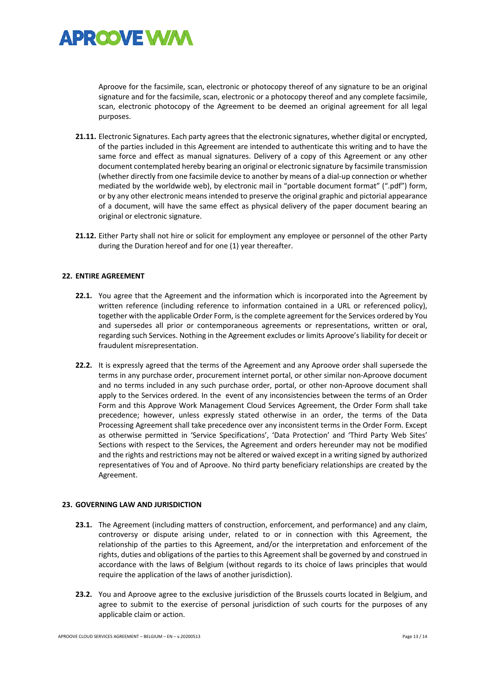

Aproove for the facsimile, scan, electronic or photocopy thereof of any signature to be an original signature and for the facsimile, scan, electronic or a photocopy thereof and any complete facsimile, scan, electronic photocopy of the Agreement to be deemed an original agreement for all legal purposes.

- **21.11.** Electronic Signatures. Each party agrees that the electronic signatures, whether digital or encrypted, of the parties included in this Agreement are intended to authenticate this writing and to have the same force and effect as manual signatures. Delivery of a copy of this Agreement or any other document contemplated hereby bearing an original or electronic signature by facsimile transmission (whether directly from one facsimile device to another by means of a dial-up connection or whether mediated by the worldwide web), by electronic mail in "portable document format" (".pdf") form, or by any other electronic means intended to preserve the original graphic and pictorial appearance of a document, will have the same effect as physical delivery of the paper document bearing an original or electronic signature.
- **21.12.** Either Party shall not hire or solicit for employment any employee or personnel of the other Party during the Duration hereof and for one (1) year thereafter.

### **22. ENTIRE AGREEMENT**

- **22.1.** You agree that the Agreement and the information which is incorporated into the Agreement by written reference (including reference to information contained in a URL or referenced policy), together with the applicable Order Form, is the complete agreement for the Services ordered by You and supersedes all prior or contemporaneous agreements or representations, written or oral, regarding such Services. Nothing in the Agreement excludes or limits Aproove's liability for deceit or fraudulent misrepresentation.
- **22.2.** It is expressly agreed that the terms of the Agreement and any Aproove order shall supersede the terms in any purchase order, procurement internet portal, or other similar non-Aproove document and no terms included in any such purchase order, portal, or other non-Aproove document shall apply to the Services ordered. In the event of any inconsistencies between the terms of an Order Form and this Approve Work Management Cloud Services Agreement, the Order Form shall take precedence; however, unless expressly stated otherwise in an order, the terms of the Data Processing Agreement shall take precedence over any inconsistent terms in the Order Form. Except as otherwise permitted in 'Service Specifications', 'Data Protection' and 'Third Party Web Sites' Sections with respect to the Services, the Agreement and orders hereunder may not be modified and the rights and restrictions may not be altered or waived except in a writing signed by authorized representatives of You and of Aproove. No third party beneficiary relationships are created by the Agreement.

#### **23. GOVERNING LAW AND JURISDICTION**

- **23.1.** The Agreement (including matters of construction, enforcement, and performance) and any claim, controversy or dispute arising under, related to or in connection with this Agreement, the relationship of the parties to this Agreement, and/or the interpretation and enforcement of the rights, duties and obligations of the parties to this Agreement shall be governed by and construed in accordance with the laws of Belgium (without regards to its choice of laws principles that would require the application of the laws of another jurisdiction).
- **23.2.** You and Aproove agree to the exclusive jurisdiction of the Brussels courts located in Belgium, and agree to submit to the exercise of personal jurisdiction of such courts for the purposes of any applicable claim or action.